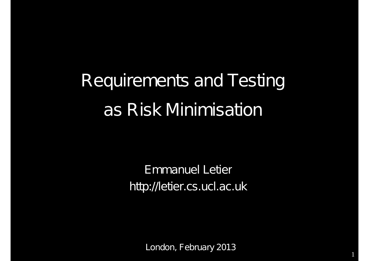# Requirements and Testing as Risk Minimisation

Emmanuel Letier http://letier.cs.ucl.ac.uk

London, February 2013

1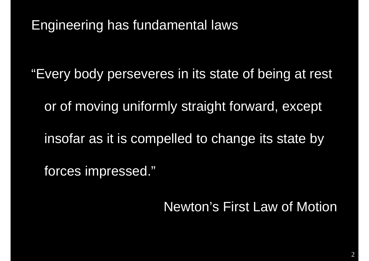Engineering has fundamental laws

"Every body perseveres in its state of being at rest

or of moving uniformly straight forward, except

insofar as it is compelled to change its state by

forces impressed."

Newton's First Law of Motion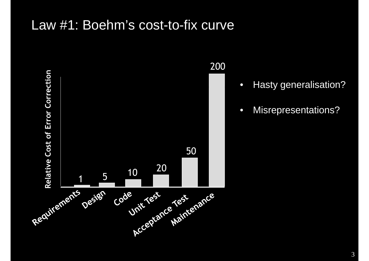#### Law #1: Boehm's cost-to-fix curve



200

- Hasty generalisation?
- Misrepresentations?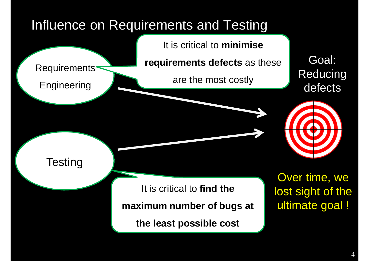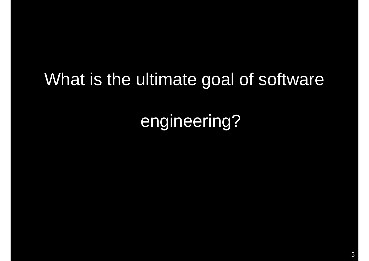## What is the ultimate goal of software

engineering?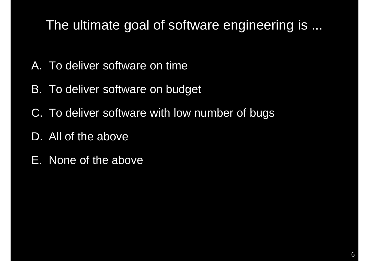## The ultimate goal of software engineering is ...

- A. To deliver software on time
- B. To deliver software on budget
- C. To deliver software with low number of bugs
- D. All of the above
- E. None of the above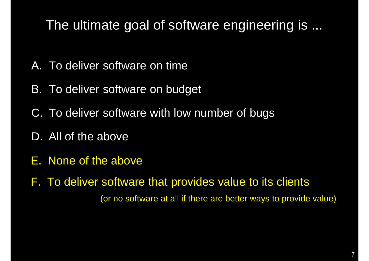### The ultimate goal of software engineering is ...

- A. To deliver software on time
- B. To deliver software on budget
- C. To deliver software with low number of bugs
- D. All of the above
- E. None of the above

F. To deliver software that provides value to its clients (or no software at all if there are better ways to provide value)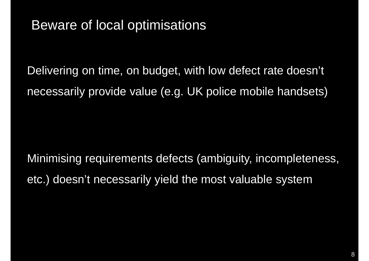#### Beware of local optimisations

Delivering on time, on budget, with low defect rate doesn't necessarily provide value (e.g. UK police mobile handsets)

Minimising requirements defects (ambiguity, incompleteness, etc.) doesn't necessarily yield the most valuable system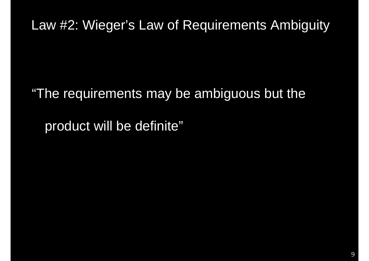#### Law #2: Wieger's Law of Requirements Ambiguity

"The requirements may be ambiguous but the

product will be definite"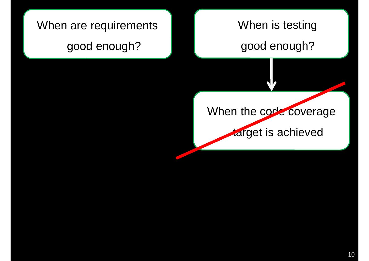## When are requirements good enough? When is testing good enough?

When the code coverage

target is achieved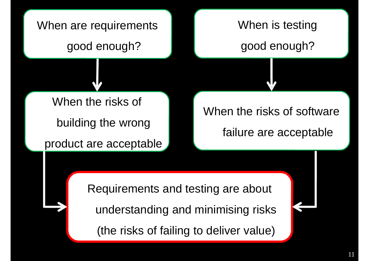

(the risks of failing to deliver value)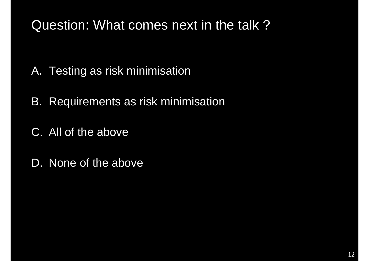### Question: What comes next in the talk ?

- A. Testing as risk minimisation
- B. Requirements as risk minimisation
- C. All of the above
- D. None of the above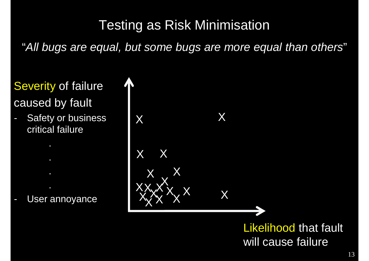## Testing as Risk Minimisation

"*All bugs are equal, but some bugs are more equal than others*"

## Severity of failure caused by fault

Safety or business critical failure

User annoyance



will cause failure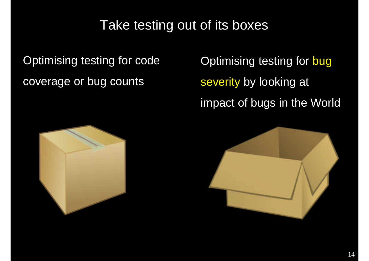### Take testing out of its boxes

**Optimising testing for code** coverage or bug counts

Optimising testing for bug severity by looking at impact of bugs in the World



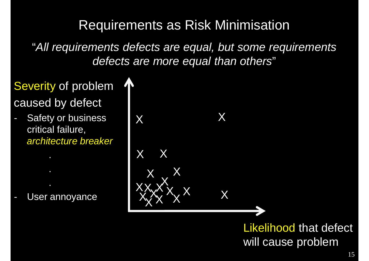## Requirements as Risk Minimisation

"*All requirements defects are equal, but some requirements defects are more equal than others*"

#### Severity of problem caused by defect

Safety or business critical failure, *architecture breaker*

User annoyance

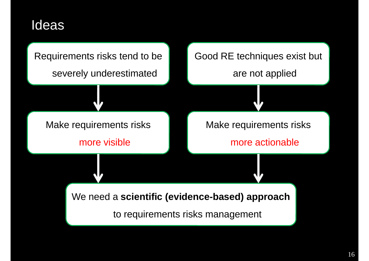#### Ideas

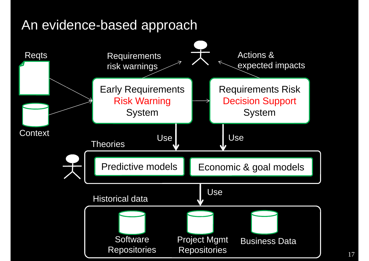#### An evidence-based approach

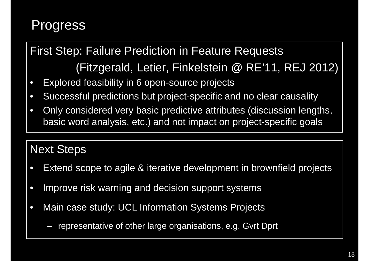## **Progress**

### First Step: Failure Prediction in Feature Requests (Fitzgerald, Letier, Finkelstein @ RE'11, REJ 2012)

- Explored feasibility in 6 open-source projects
- Successful predictions but project-specific and no clear causality
- Only considered very basic predictive attributes (discussion lengths, basic word analysis, etc.) and not impact on project-specific goals

#### Next Steps

- Extend scope to agile & iterative development in brownfield projects
- Improve risk warning and decision support systems
- Main case study: UCL Information Systems Projects
	- representative of other large organisations, e.g. Gvrt Dprt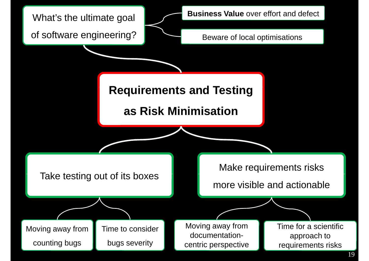